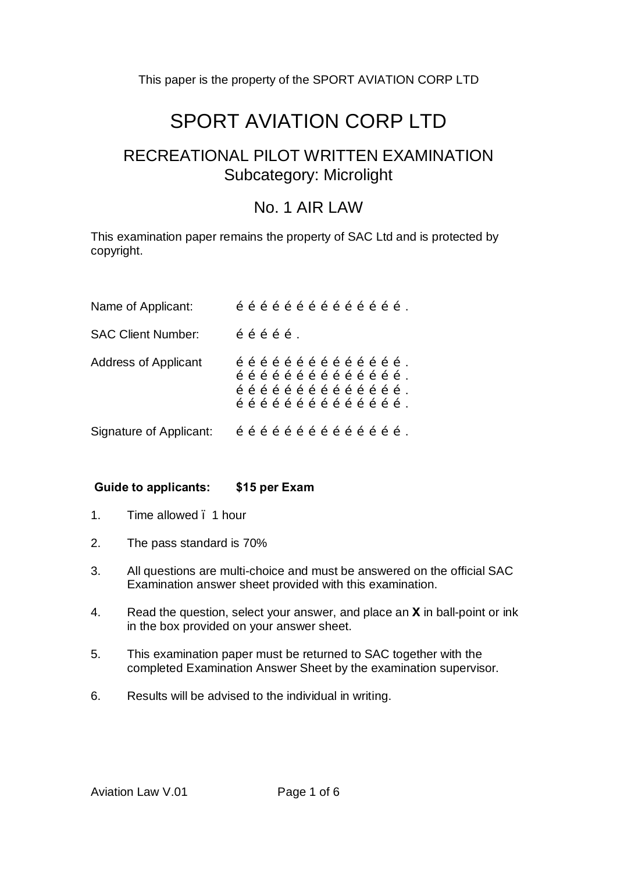# SPORT AVIATION CORP LTD

## RECREATIONAL PILOT WRITTEN EXAMINATION Subcategory: Microlight

### No. 1 AIR LAW

This examination paper remains the property of SAC Ltd and is protected by copyright.

| Name of Applicant:          |  |  | $\tilde{o}$ $\tilde{o}$ $\tilde{o}$ $\tilde{o}$ $\tilde{o}$ $\tilde{o}$ $\tilde{o}$ $\tilde{o}$ $\tilde{o}$ $\tilde{o}$ $\tilde{o}$ .                                                                                                                                                                                                                                                                                                                                                                                                                                                                                                                                                                                                                                                                                      |  |  |  |  |  |
|-----------------------------|--|--|----------------------------------------------------------------------------------------------------------------------------------------------------------------------------------------------------------------------------------------------------------------------------------------------------------------------------------------------------------------------------------------------------------------------------------------------------------------------------------------------------------------------------------------------------------------------------------------------------------------------------------------------------------------------------------------------------------------------------------------------------------------------------------------------------------------------------|--|--|--|--|--|
| <b>SAC Client Number:</b>   |  |  | $\tilde{o}$ $\tilde{o}$ $\tilde{o}$ $\tilde{o}$ $\tilde{o}$ .                                                                                                                                                                                                                                                                                                                                                                                                                                                                                                                                                                                                                                                                                                                                                              |  |  |  |  |  |
| <b>Address of Applicant</b> |  |  | $\tilde{o}$ $\tilde{o}$ $\tilde{o}$ $\tilde{o}$ $\tilde{o}$ $\tilde{o}$ $\tilde{o}$ $\tilde{o}$ $\tilde{o}$ $\tilde{o}$ $\tilde{o}$ .<br>$\tilde{\text{o}}$ $\tilde{\text{o}}$ $\tilde{\text{o}}$ $\tilde{\text{o}}$ $\tilde{\text{o}}$ $\tilde{\text{o}}$ $\tilde{\text{o}}$ $\tilde{\text{o}}$ $\tilde{\text{o}}$ $\tilde{\text{o}}$ $\tilde{\text{o}}$ .<br>$\tilde{\text{o}}$ $\tilde{\text{o}}$ $\tilde{\text{o}}$ $\tilde{\text{o}}$ $\tilde{\text{o}}$ $\tilde{\text{o}}$ $\tilde{\text{o}}$ $\tilde{\text{o}}$ $\tilde{\text{o}}$ $\tilde{\text{o}}$ $\tilde{\text{o}}$ .<br>$\tilde{\text{o}}$ $\tilde{\text{o}}$ $\tilde{\text{o}}$ $\tilde{\text{o}}$ $\tilde{\text{o}}$ $\tilde{\text{o}}$ $\tilde{\text{o}}$ $\tilde{\text{o}}$ $\tilde{\text{o}}$ $\tilde{\text{o}}$ $\tilde{\text{o}}$ $\tilde{\text{o}}$ . |  |  |  |  |  |
| Signature of Applicant:     |  |  | $\tilde{o}$ $\tilde{o}$ $\tilde{o}$ $\tilde{o}$ $\tilde{o}$ $\tilde{o}$ $\tilde{o}$ $\tilde{o}$ $\tilde{o}$ $\tilde{o}$ $\tilde{o}$ .                                                                                                                                                                                                                                                                                                                                                                                                                                                                                                                                                                                                                                                                                      |  |  |  |  |  |

#### **Guide to applicants: \$15 per Exam**

- 1. Time allowed . 1 hour
- 2. The pass standard is 70%
- 3. All questions are multi-choice and must be answered on the official SAC Examination answer sheet provided with this examination.
- 4. Read the question, select your answer, and place an **X** in ball-point or ink in the box provided on your answer sheet.
- 5. This examination paper must be returned to SAC together with the completed Examination Answer Sheet by the examination supervisor.
- 6. Results will be advised to the individual in writing.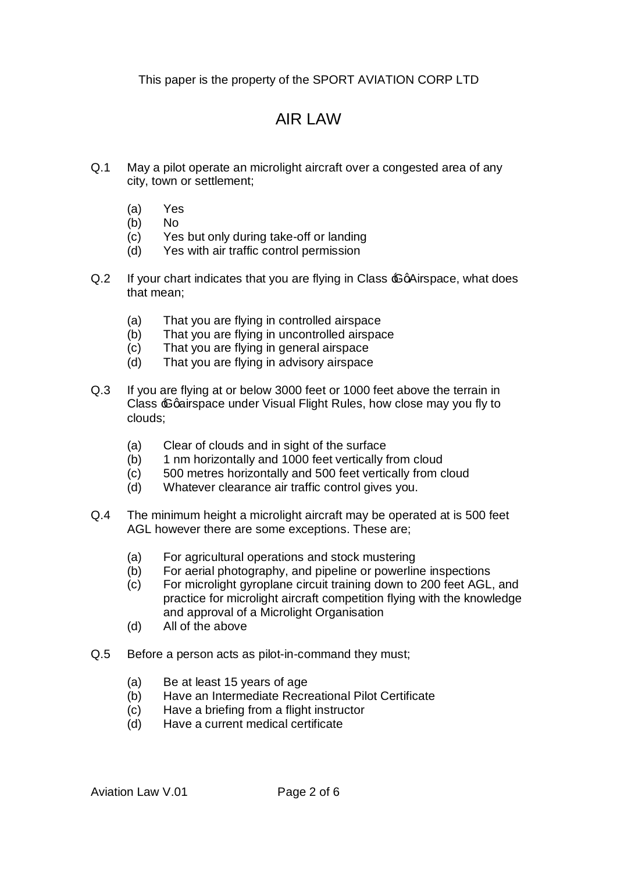## AIR LAW

- Q.1 May a pilot operate an microlight aircraft over a congested area of any city, town or settlement;
	- (a) Yes
	- (b) No
	- (c) Yes but only during take-off or landing
	- (d) Yes with air traffic control permission
- $Q.2$  If your chart indicates that you are flying in Class  $\epsilon$  a Airspace, what does that mean;
	- (a) That you are flying in controlled airspace
	- (b) That you are flying in uncontrolled airspace
	- (c) That you are flying in general airspace
	- (d) That you are flying in advisory airspace
- Q.3 If you are flying at or below 3000 feet or 1000 feet above the terrain in Class  $\epsilon$ Gairspace under Visual Flight Rules, how close may you fly to clouds;
	- (a) Clear of clouds and in sight of the surface
	- (b) 1 nm horizontally and 1000 feet vertically from cloud
	- (c) 500 metres horizontally and 500 feet vertically from cloud
	- (d) Whatever clearance air traffic control gives you.
- Q.4 The minimum height a microlight aircraft may be operated at is 500 feet AGL however there are some exceptions. These are;
	- (a) For agricultural operations and stock mustering
	- (b) For aerial photography, and pipeline or powerline inspections
	- (c) For microlight gyroplane circuit training down to 200 feet AGL, and practice for microlight aircraft competition flying with the knowledge and approval of a Microlight Organisation
	- (d) All of the above
- Q.5 Before a person acts as pilot-in-command they must;
	- (a) Be at least 15 years of age
	- (b) Have an Intermediate Recreational Pilot Certificate
	- (c) Have a briefing from a flight instructor
	- (d) Have a current medical certificate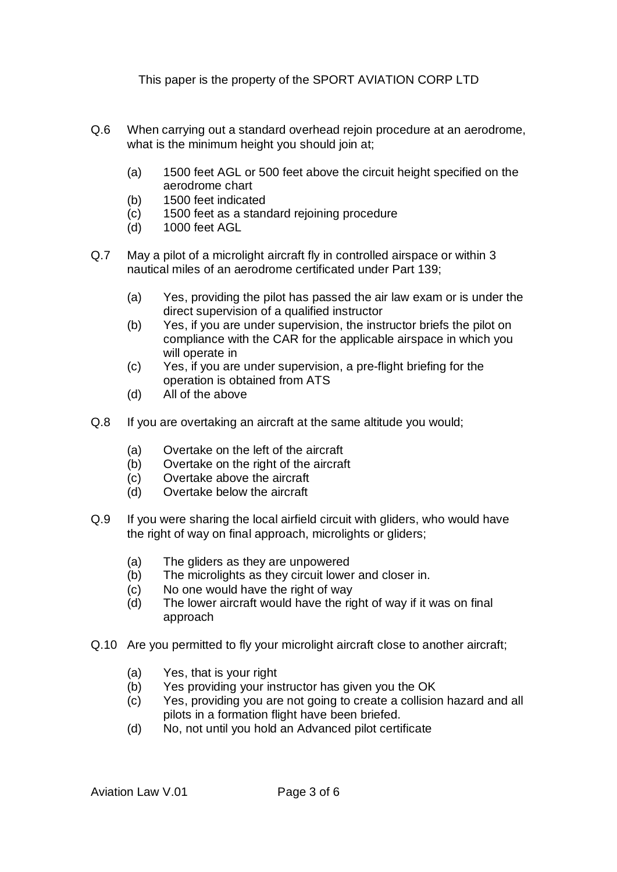- Q.6 When carrying out a standard overhead rejoin procedure at an aerodrome, what is the minimum height you should join at;
	- (a) 1500 feet AGL or 500 feet above the circuit height specified on the aerodrome chart
	- (b) 1500 feet indicated
	- (c) 1500 feet as a standard rejoining procedure
	- (d) 1000 feet AGL
- Q.7 May a pilot of a microlight aircraft fly in controlled airspace or within 3 nautical miles of an aerodrome certificated under Part 139;
	- (a) Yes, providing the pilot has passed the air law exam or is under the direct supervision of a qualified instructor
	- (b) Yes, if you are under supervision, the instructor briefs the pilot on compliance with the CAR for the applicable airspace in which you will operate in
	- (c) Yes, if you are under supervision, a pre-flight briefing for the operation is obtained from ATS
	- (d) All of the above
- Q.8 If you are overtaking an aircraft at the same altitude you would;
	- (a) Overtake on the left of the aircraft
	- (b) Overtake on the right of the aircraft
	- (c) Overtake above the aircraft
	- (d) Overtake below the aircraft
- Q.9 If you were sharing the local airfield circuit with gliders, who would have the right of way on final approach, microlights or gliders;
	- (a) The gliders as they are unpowered
	- (b) The microlights as they circuit lower and closer in.
	- (c) No one would have the right of way
	- (d) The lower aircraft would have the right of way if it was on final approach
- Q.10 Are you permitted to fly your microlight aircraft close to another aircraft;
	- (a) Yes, that is your right
	- (b) Yes providing your instructor has given you the OK
	- (c) Yes, providing you are not going to create a collision hazard and all pilots in a formation flight have been briefed.
	- (d) No, not until you hold an Advanced pilot certificate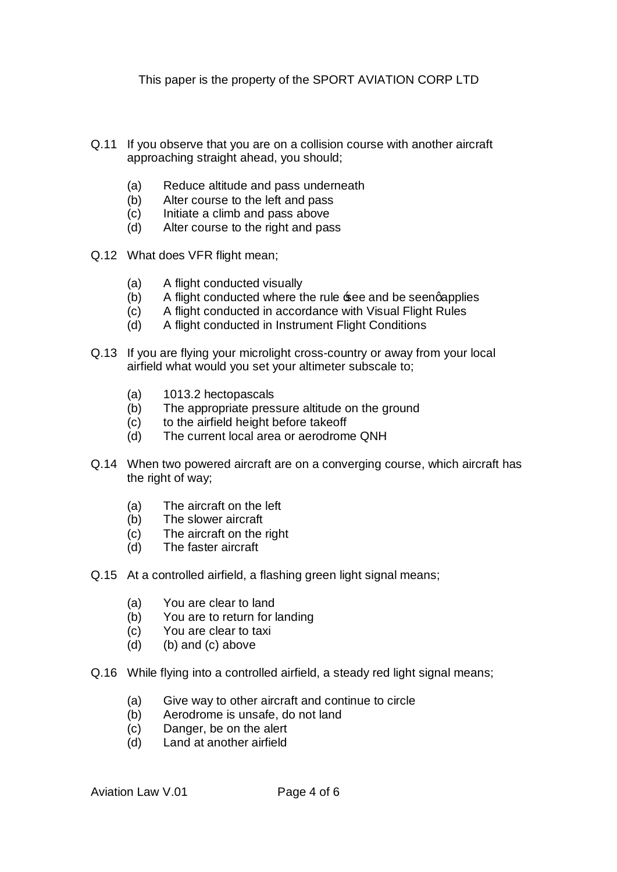- Q.11 If you observe that you are on a collision course with another aircraft approaching straight ahead, you should;
	- (a) Reduce altitude and pass underneath
	- (b) Alter course to the left and pass
	- (c) Initiate a climb and pass above
	- (d) Alter course to the right and pass
- Q.12 What does VFR flight mean;
	- (a) A flight conducted visually
	- (b) A flight conducted where the rule  $\texttt{see}$  and be seengapplies
	- (c) A flight conducted in accordance with Visual Flight Rules
	- (d) A flight conducted in Instrument Flight Conditions
- Q.13 If you are flying your microlight cross-country or away from your local airfield what would you set your altimeter subscale to;
	- (a) 1013.2 hectopascals
	- (b) The appropriate pressure altitude on the ground
	- (c) to the airfield height before takeoff
	- (d) The current local area or aerodrome QNH
- Q.14 When two powered aircraft are on a converging course, which aircraft has the right of way;
	- (a) The aircraft on the left
	- (b) The slower aircraft
	- (c) The aircraft on the right
	- (d) The faster aircraft
- Q.15 At a controlled airfield, a flashing green light signal means;
	- (a) You are clear to land
	- (b) You are to return for landing
	- (c) You are clear to taxi
	- (d) (b) and (c) above
- Q.16 While flying into a controlled airfield, a steady red light signal means;
	- (a) Give way to other aircraft and continue to circle
	- (b) Aerodrome is unsafe, do not land
	- (c) Danger, be on the alert
	- (d) Land at another airfield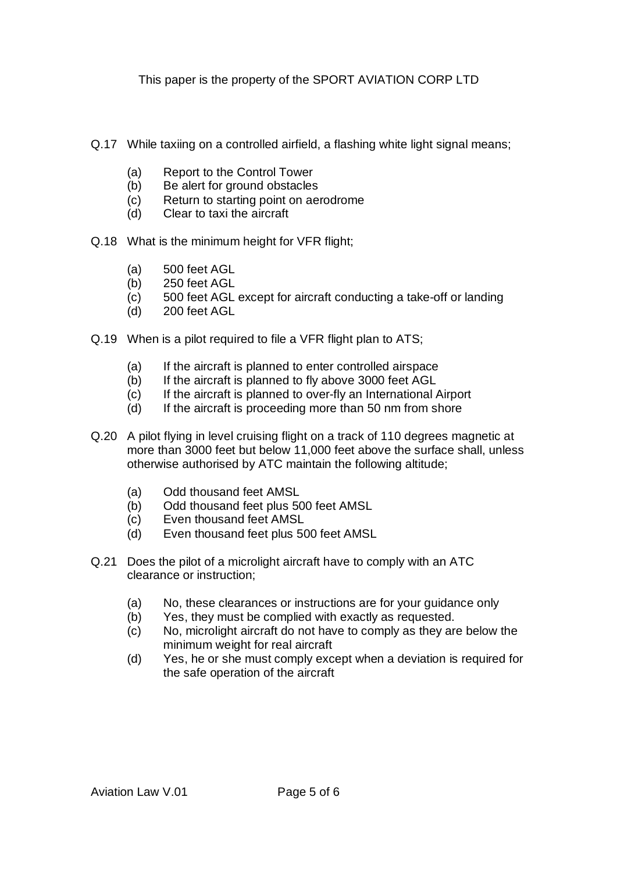- Q.17 While taxiing on a controlled airfield, a flashing white light signal means;
	- (a) Report to the Control Tower
	- (b) Be alert for ground obstacles
	- (c) Return to starting point on aerodrome
	- (d) Clear to taxi the aircraft
- Q.18 What is the minimum height for VFR flight;
	- (a) 500 feet AGL
	- (b) 250 feet AGL
	- (c) 500 feet AGL except for aircraft conducting a take-off or landing
	- (d) 200 feet AGL
- Q.19 When is a pilot required to file a VFR flight plan to ATS;
	- (a) If the aircraft is planned to enter controlled airspace
	- (b) If the aircraft is planned to fly above 3000 feet AGL
	- (c) If the aircraft is planned to over-fly an International Airport
	- (d) If the aircraft is proceeding more than 50 nm from shore
- Q.20 A pilot flying in level cruising flight on a track of 110 degrees magnetic at more than 3000 feet but below 11,000 feet above the surface shall, unless otherwise authorised by ATC maintain the following altitude;
	- (a) Odd thousand feet AMSL
	- (b) Odd thousand feet plus 500 feet AMSL
	- (c) Even thousand feet AMSL
	- (d) Even thousand feet plus 500 feet AMSL
- Q.21 Does the pilot of a microlight aircraft have to comply with an ATC clearance or instruction;
	- (a) No, these clearances or instructions are for your guidance only
	- (b) Yes, they must be complied with exactly as requested.
	- (c) No, microlight aircraft do not have to comply as they are below the minimum weight for real aircraft
	- (d) Yes, he or she must comply except when a deviation is required for the safe operation of the aircraft